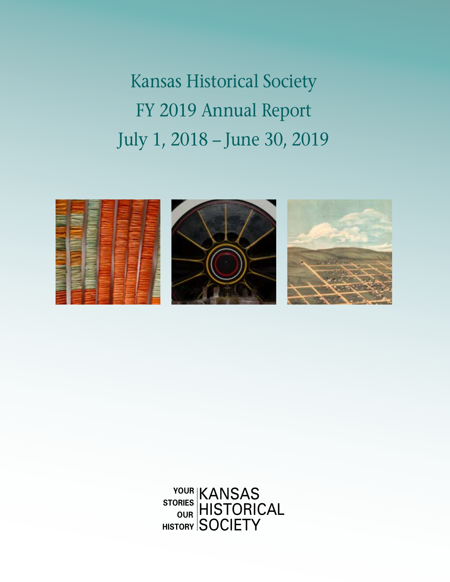Kansas Historical Society FY 2019 Annual Report July 1, 2018 – June 30, 2019



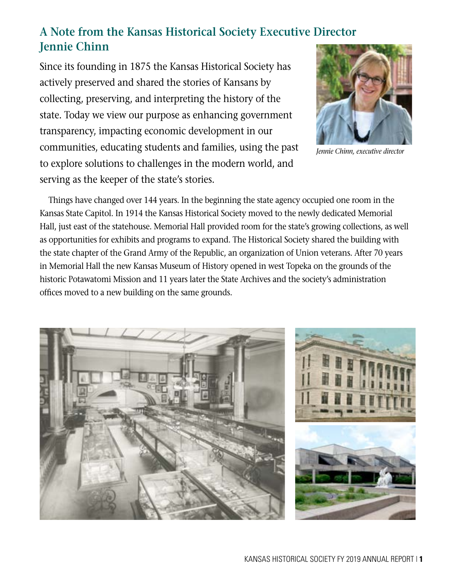### **A Note from the Kansas Historical Society Executive Director Jennie Chinn**

Since its founding in 1875 the Kansas Historical Society has actively preserved and shared the stories of Kansans by collecting, preserving, and interpreting the history of the state. Today we view our purpose as enhancing government transparency, impacting economic development in our communities, educating students and families, using the past to explore solutions to challenges in the modern world, and serving as the keeper of the state's stories.



*Jennie Chinn, executive director*

Things have changed over 144 years. In the beginning the state agency occupied one room in the Kansas State Capitol. In 1914 the Kansas Historical Society moved to the newly dedicated Memorial Hall, just east of the statehouse. Memorial Hall provided room for the state's growing collections, as well as opportunities for exhibits and programs to expand. The Historical Society shared the building with the state chapter of the Grand Army of the Republic, an organization of Union veterans. After 70 years in Memorial Hall the new Kansas Museum of History opened in west Topeka on the grounds of the historic Potawatomi Mission and 11 years later the State Archives and the society's administration offices moved to a new building on the same grounds.



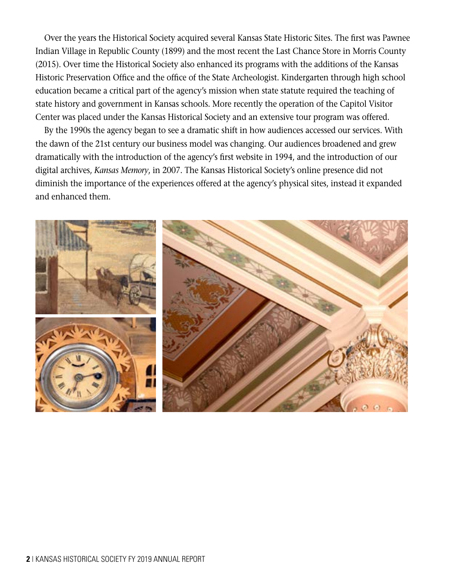Over the years the Historical Society acquired several Kansas State Historic Sites. The first was Pawnee Indian Village in Republic County (1899) and the most recent the Last Chance Store in Morris County (2015). Over time the Historical Society also enhanced its programs with the additions of the Kansas Historic Preservation Office and the office of the State Archeologist. Kindergarten through high school education became a critical part of the agency's mission when state statute required the teaching of state history and government in Kansas schools. More recently the operation of the Capitol Visitor Center was placed under the Kansas Historical Society and an extensive tour program was offered.

By the 1990s the agency began to see a dramatic shift in how audiences accessed our services. With the dawn of the 21st century our business model was changing. Our audiences broadened and grew dramatically with the introduction of the agency's first website in 1994, and the introduction of our digital archives, *Kansas Memory*, in 2007. The Kansas Historical Society's online presence did not diminish the importance of the experiences offered at the agency's physical sites, instead it expanded and enhanced them.

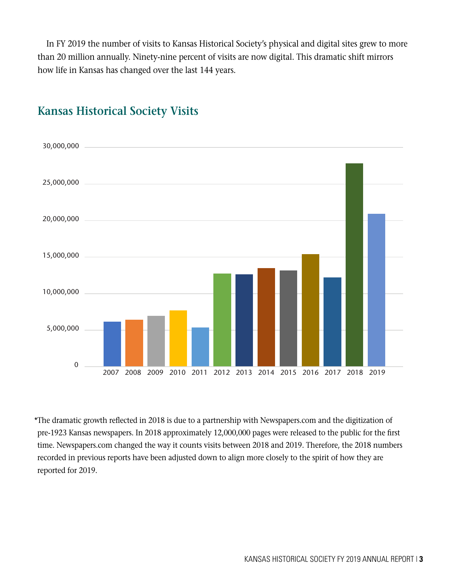In FY 2019 the number of visits to Kansas Historical Society's physical and digital sites grew to more than 20 million annually. Ninety-nine percent of visits are now digital. This dramatic shift mirrors how life in Kansas has changed over the last 144 years.



### **Kansas Historical Society Visits**

\*The dramatic growth reflected in 2018 is due to a partnership with Newspapers.com and the digitization of pre-1923 Kansas newspapers. In 2018 approximately 12,000,000 pages were released to the public for the first time. Newspapers.com changed the way it counts visits between 2018 and 2019. Therefore, the 2018 numbers recorded in previous reports have been adjusted down to align more closely to the spirit of how they are reported for 2019.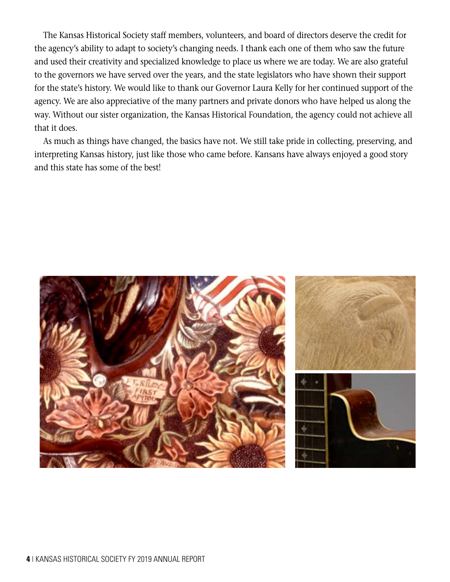The Kansas Historical Society staff members, volunteers, and board of directors deserve the credit for the agency's ability to adapt to society's changing needs. I thank each one of them who saw the future and used their creativity and specialized knowledge to place us where we are today. We are also grateful to the governors we have served over the years, and the state legislators who have shown their support for the state's history. We would like to thank our Governor Laura Kelly for her continued support of the agency. We are also appreciative of the many partners and private donors who have helped us along the way. Without our sister organization, the Kansas Historical Foundation, the agency could not achieve all that it does.

As much as things have changed, the basics have not. We still take pride in collecting, preserving, and interpreting Kansas history, just like those who came before. Kansans have always enjoyed a good story and this state has some of the best!

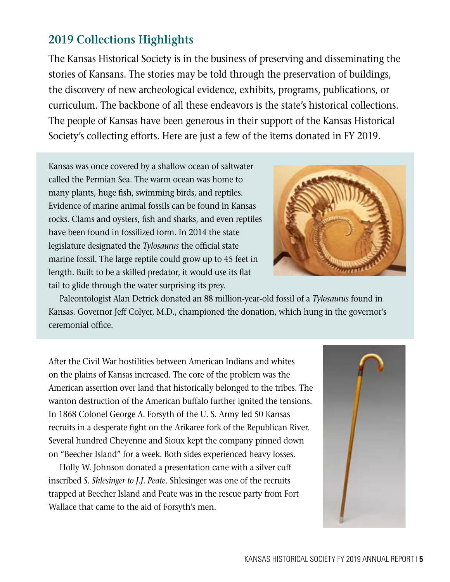### **2019 Collections Highlights**

The Kansas Historical Society is in the business of preserving and disseminating the stories of Kansans. The stories may be told through the preservation of buildings, the discovery of new archeological evidence, exhibits, programs, publications, or curriculum. The backbone of all these endeavors is the state's historical collections. The people of Kansas have been generous in their support of the Kansas Historical Society's collecting efforts. Here are just a few of the items donated in FY 2019.

Kansas was once covered by a shallow ocean of saltwater called the Permian Sea. The warm ocean was home to many plants, huge fish, swimming birds, and reptiles. Evidence of marine animal fossils can be found in Kansas rocks. Clams and oysters, fish and sharks, and even reptiles have been found in fossilized form. In 2014 the state legislature designated the *Tylosaurus* the official state marine fossil. The large reptile could grow up to 45 feet in length. Built to be a skilled predator, it would use its flat tail to glide through the water surprising its prey.



 Paleontologist Alan Detrick donated an 88 million-year-old fossil of a *Tylosaurus* found in Kansas. Governor Jeff Colyer, M.D., championed the donation, which hung in the governor's ceremonial office.

After the Civil War hostilities between American Indians and whites on the plains of Kansas increased. The core of the problem was the American assertion over land that historically belonged to the tribes. The wanton destruction of the American buffalo further ignited the tensions. In 1868 Colonel George A. Forsyth of the U. S. Army led 50 Kansas recruits in a desperate fight on the Arikaree fork of the Republican River. Several hundred Cheyenne and Sioux kept the company pinned down on "Beecher Island" for a week. Both sides experienced heavy losses.

 Holly W. Johnson donated a presentation cane with a silver cuff inscribed *S. Shlesinger to J.J. Peate*. Shlesinger was one of the recruits trapped at Beecher Island and Peate was in the rescue party from Fort Wallace that came to the aid of Forsyth's men.

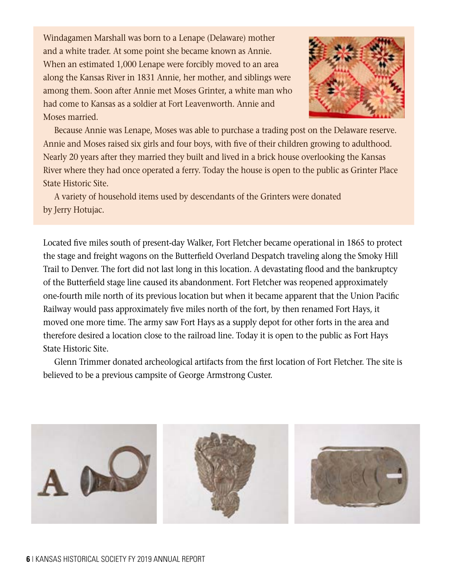Windagamen Marshall was born to a Lenape (Delaware) mother and a white trader. At some point she became known as Annie. When an estimated 1,000 Lenape were forcibly moved to an area along the Kansas River in 1831 Annie, her mother, and siblings were among them. Soon after Annie met Moses Grinter, a white man who had come to Kansas as a soldier at Fort Leavenworth. Annie and Moses married.



 Because Annie was Lenape, Moses was able to purchase a trading post on the Delaware reserve. Annie and Moses raised six girls and four boys, with five of their children growing to adulthood. Nearly 20 years after they married they built and lived in a brick house overlooking the Kansas River where they had once operated a ferry. Today the house is open to the public as Grinter Place State Historic Site.

 A variety of household items used by descendants of the Grinters were donated by Jerry Hotujac.

Located five miles south of present-day Walker, Fort Fletcher became operational in 1865 to protect the stage and freight wagons on the Butterfield Overland Despatch traveling along the Smoky Hill Trail to Denver. The fort did not last long in this location. A devastating flood and the bankruptcy of the Butterfield stage line caused its abandonment. Fort Fletcher was reopened approximately one-fourth mile north of its previous location but when it became apparent that the Union Pacific Railway would pass approximately five miles north of the fort, by then renamed Fort Hays, it moved one more time. The army saw Fort Hays as a supply depot for other forts in the area and therefore desired a location close to the railroad line. Today it is open to the public as Fort Hays State Historic Site.

 Glenn Trimmer donated archeological artifacts from the first location of Fort Fletcher. The site is believed to be a previous campsite of George Armstrong Custer.

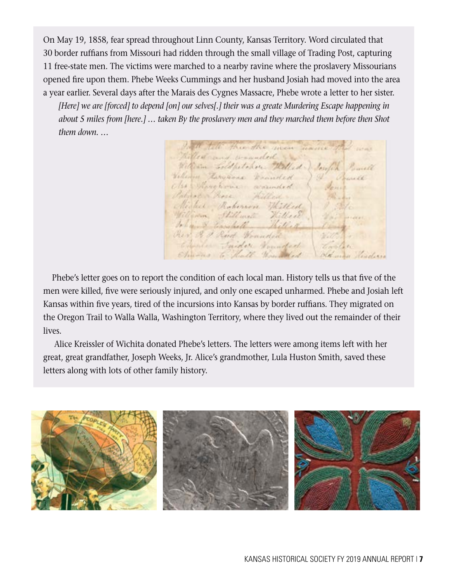On May 19, 1858, fear spread throughout Linn County, Kansas Territory. Word circulated that 30 border ruffians from Missouri had ridden through the small village of Trading Post, capturing 11 free-state men. The victims were marched to a nearby ravine where the proslavery Missourians opened fire upon them. Phebe Weeks Cummings and her husband Josiah had moved into the area a year earlier. Several days after the Marais des Cygnes Massacre, Phebe wrote a letter to her sister.

 *[Here] we are [forced] to depend [on] our selves[.] their was a greate Murdering Escape happening in about 5 miles from [here.] … taken By the proslavery men and they marched them before then Shot them down. …*

tell througher men maine Rilled and wanded to William Foldpetance Willed William Harvanne Wanneled Olse Thomphone warmled broken hore Willed ested Roberton Willed Com Hillmett Hillsel John & Earnhill Rev 3 & Red Hounded  $\rightarrow 0$ Camila Taidor Foundary Shuras to healt manufed day man heading

Phebe's letter goes on to report the condition of each local man. History tells us that five of the men were killed, five were seriously injured, and only one escaped unharmed. Phebe and Josiah left Kansas within five years, tired of the incursions into Kansas by border ruffians. They migrated on the Oregon Trail to Walla Walla, Washington Territory, where they lived out the remainder of their lives.

 Alice Kreissler of Wichita donated Phebe's letters. The letters were among items left with her great, great grandfather, Joseph Weeks, Jr. Alice's grandmother, Lula Huston Smith, saved these letters along with lots of other family history.

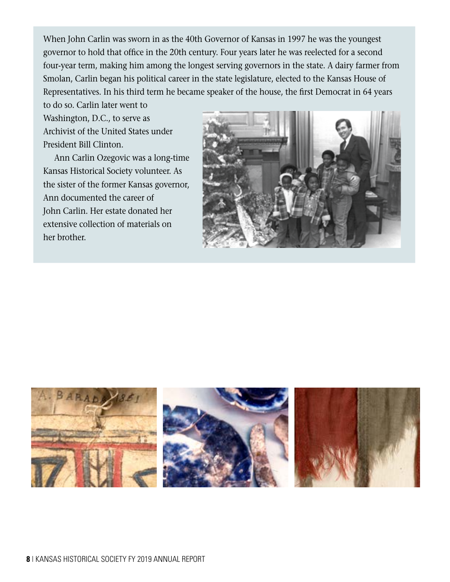When John Carlin was sworn in as the 40th Governor of Kansas in 1997 he was the youngest governor to hold that office in the 20th century. Four years later he was reelected for a second four-year term, making him among the longest serving governors in the state. A dairy farmer from Smolan, Carlin began his political career in the state legislature, elected to the Kansas House of Representatives. In his third term he became speaker of the house, the first Democrat in 64 years

to do so. Carlin later went to Washington, D.C., to serve as Archivist of the United States under President Bill Clinton.

 Ann Carlin Ozegovic was a long-time Kansas Historical Society volunteer. As the sister of the former Kansas governor, Ann documented the career of John Carlin. Her estate donated her extensive collection of materials on her brother.



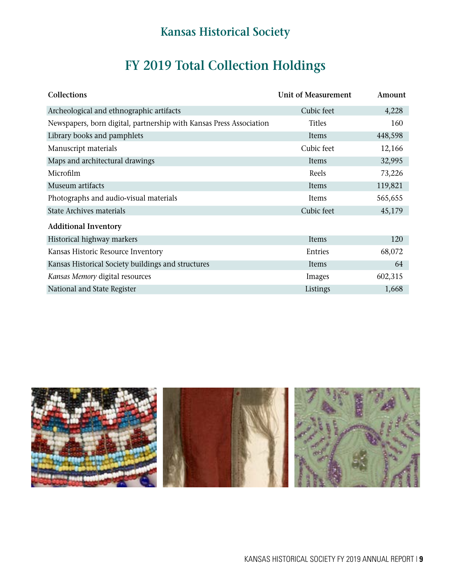## **Kansas Historical Society**

# **FY 2019 Total Collection Holdings**

| Collections                                                         | <b>Unit of Measurement</b> | Amount  |
|---------------------------------------------------------------------|----------------------------|---------|
| Archeological and ethnographic artifacts                            | Cubic feet                 | 4,228   |
| Newspapers, born digital, partnership with Kansas Press Association | <b>Titles</b>              | 160     |
| Library books and pamphlets                                         | Items                      | 448,598 |
| Manuscript materials                                                | Cubic feet                 | 12,166  |
| Maps and architectural drawings                                     | Items                      | 32,995  |
| Microfilm                                                           | Reels                      | 73,226  |
| Museum artifacts                                                    | Items                      | 119,821 |
| Photographs and audio-visual materials                              | Items                      | 565,655 |
| <b>State Archives materials</b>                                     | Cubic feet                 | 45,179  |
| <b>Additional Inventory</b>                                         |                            |         |
| Historical highway markers                                          | Items                      | 120     |
| Kansas Historic Resource Inventory                                  | Entries                    | 68,072  |
| Kansas Historical Society buildings and structures                  | Items                      | 64      |
| Kansas Memory digital resources                                     | Images                     | 602,315 |
| National and State Register                                         | Listings                   | 1,668   |

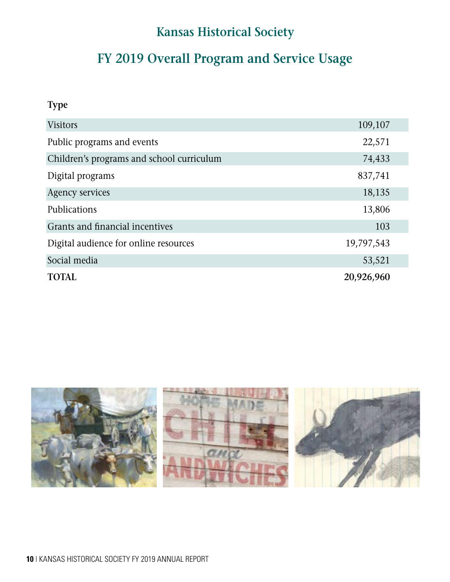## **Kansas Historical Society**

# **FY 2019 Overall Program and Service Usage**

**Type** 

| <b>Visitors</b>                           | 109,107    |
|-------------------------------------------|------------|
| Public programs and events                | 22,571     |
| Children's programs and school curriculum | 74,433     |
| Digital programs                          | 837,741    |
| <b>Agency services</b>                    | 18,135     |
| <b>Publications</b>                       | 13,806     |
| Grants and financial incentives           | 103        |
| Digital audience for online resources     | 19,797,543 |
| Social media                              | 53,521     |
| <b>TOTAL</b>                              | 20,926,960 |

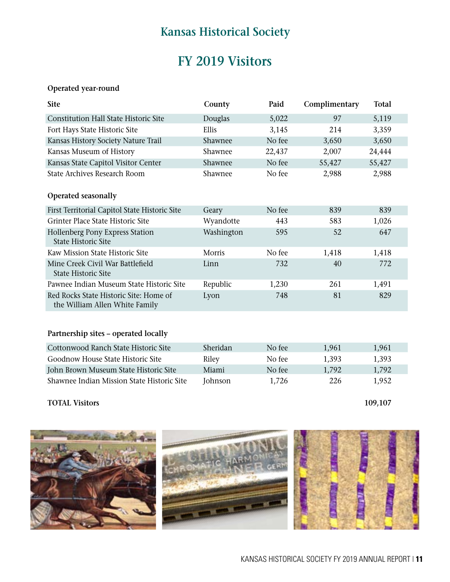### **Kansas Historical Society**

### **FY 2019 Visitors**

#### **Operated year-round**

| <b>Site</b>                                                              | County     | Paid   | Complimentary | Total  |
|--------------------------------------------------------------------------|------------|--------|---------------|--------|
| <b>Constitution Hall State Historic Site</b>                             | Douglas    | 5,022  | 97            | 5,119  |
| Fort Hays State Historic Site                                            | Ellis      | 3,145  | 214           | 3,359  |
| Kansas History Society Nature Trail                                      | Shawnee    | No fee | 3,650         | 3,650  |
| Kansas Museum of History                                                 | Shawnee    | 22,437 | 2,007         | 24,444 |
| Kansas State Capitol Visitor Center                                      | Shawnee    | No fee | 55,427        | 55,427 |
| State Archives Research Room                                             | Shawnee    | No fee | 2,988         | 2,988  |
| Operated seasonally                                                      |            |        |               |        |
| First Territorial Capitol State Historic Site                            | Geary      | No fee | 839           | 839    |
| Grinter Place State Historic Site                                        | Wyandotte  | 443    | 583           | 1,026  |
| Hollenberg Pony Express Station<br><b>State Historic Site</b>            | Washington | 595    | 52            | 647    |
| Kaw Mission State Historic Site                                          | Morris     | No fee | 1,418         | 1,418  |
| Mine Creek Civil War Battlefield<br><b>State Historic Site</b>           | Linn       | 732    | 40            | 772    |
| Pawnee Indian Museum State Historic Site                                 | Republic   | 1,230  | 261           | 1,491  |
| Red Rocks State Historic Site: Home of<br>the William Allen White Family | Lyon       | 748    | 81            | 829    |
| Partnership sites - operated locally                                     |            |        |               |        |
| Cottonwood Ranch State Historic Site                                     | Sheridan   | No fee | 1,961         | 1,961  |
| Goodnow House State Historic Site                                        | Riley      | No fee | 1,393         | 1,393  |
| John Brown Museum State Historic Site                                    | Miami      | No fee | 1,792         | 1,792  |
| Shawnee Indian Mission State Historic Site                               | Johnson    | 1,726  | 226           | 1,952  |

#### **TOTAL Visitors 109,107**

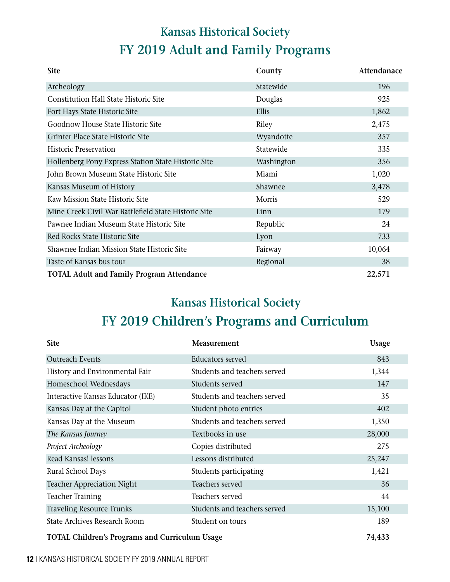# **FY 2019 Adult and Family Programs Kansas Historical Society**

| <b>Site</b>                                          | County     | Attendanace |
|------------------------------------------------------|------------|-------------|
| Archeology                                           | Statewide  | 196         |
| Constitution Hall State Historic Site                | Douglas    | 925         |
| Fort Hays State Historic Site                        | Ellis      | 1,862       |
| Goodnow House State Historic Site                    | Riley      | 2,475       |
| Grinter Place State Historic Site                    | Wyandotte  | 357         |
| <b>Historic Preservation</b>                         | Statewide  | 335         |
| Hollenberg Pony Express Station State Historic Site  | Washington | 356         |
| John Brown Museum State Historic Site                | Miami      | 1,020       |
| Kansas Museum of History                             | Shawnee    | 3,478       |
| Kaw Mission State Historic Site                      | Morris     | 529         |
| Mine Creek Civil War Battlefield State Historic Site | Linn       | 179         |
| Pawnee Indian Museum State Historic Site             | Republic   | 24          |
| Red Rocks State Historic Site                        | Lyon       | 733         |
| Shawnee Indian Mission State Historic Site           | Fairway    | 10,064      |
| Taste of Kansas bus tour                             | Regional   | 38          |
| <b>TOTAL Adult and Family Program Attendance</b>     |            | 22,571      |

## **Kansas Historical Society FY 2019 Children's Programs and Curriculum**

| <b>Site</b>                                           | Measurement                  | Usage  |
|-------------------------------------------------------|------------------------------|--------|
| <b>Outreach Events</b>                                | <b>Educators served</b>      | 843    |
| History and Environmental Fair                        | Students and teachers served | 1,344  |
| Homeschool Wednesdays                                 | Students served              | 147    |
| Interactive Kansas Educator (IKE)                     | Students and teachers served | 35     |
| Kansas Day at the Capitol                             | Student photo entries        | 402    |
| Kansas Day at the Museum                              | Students and teachers served | 1,350  |
| The Kansas Journey                                    | Textbooks in use             | 28,000 |
| Project Archeology                                    | Copies distributed           | 275    |
| Read Kansas! lessons                                  | Lessons distributed          | 25,247 |
| Rural School Days                                     | Students participating       | 1,421  |
| <b>Teacher Appreciation Night</b>                     | Teachers served              | 36     |
| <b>Teacher Training</b>                               | Teachers served              | 44     |
| <b>Traveling Resource Trunks</b>                      | Students and teachers served | 15,100 |
| <b>State Archives Research Room</b>                   | Student on tours             | 189    |
| <b>TOTAL Children's Programs and Curriculum Usage</b> |                              | 74,433 |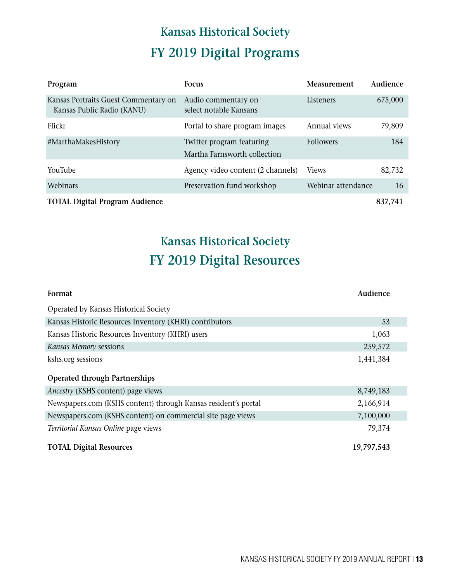# **FY 2019 Digital Programs Kansas Historical Society**

| Program                                                            | <b>Focus</b>                                              | Measurement        | Audience |
|--------------------------------------------------------------------|-----------------------------------------------------------|--------------------|----------|
| Kansas Portraits Guest Commentary on<br>Kansas Public Radio (KANU) | Audio commentary on<br>select notable Kansans             | Listeners          | 675,000  |
| Flickr                                                             | Portal to share program images                            | Annual views       | 79,809   |
| #MarthaMakesHistory                                                | Twitter program featuring<br>Martha Farnsworth collection | <b>Followers</b>   | 184      |
| YouTube                                                            | Agency video content (2 channels)                         | <b>Views</b>       | 82,732   |
| Webinars                                                           | Preservation fund workshop                                | Webinar attendance | 16       |
| <b>TOTAL Digital Program Audience</b>                              |                                                           |                    | 837,741  |

# **Kansas Historical Society FY 2019 Digital Resources**

| Format                                                         | Audience   |
|----------------------------------------------------------------|------------|
| Operated by Kansas Historical Society                          |            |
| Kansas Historic Resources Inventory (KHRI) contributors        | 53         |
| Kansas Historic Resources Inventory (KHRI) users               | 1,063      |
| Kansas Memory sessions                                         | 259,572    |
| kshs.org sessions                                              | 1,441,384  |
| <b>Operated through Partnerships</b>                           |            |
| <i>Ancestry</i> (KSHS content) page views                      | 8,749,183  |
| Newspapers.com (KSHS content) through Kansas resident's portal | 2,166,914  |
| Newspapers.com (KSHS content) on commercial site page views    | 7,100,000  |
| Territorial Kansas Online page views                           | 79,374     |
| <b>TOTAL Digital Resources</b>                                 | 19,797,543 |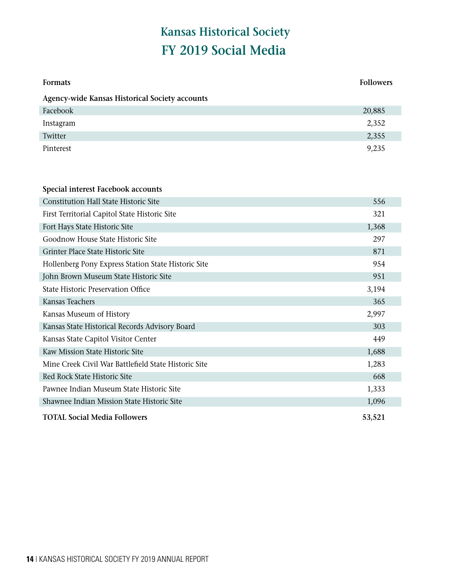# **FY 2019 Social Media Kansas Historical Society**

| <b>Formats</b>                                        | <b>Followers</b> |
|-------------------------------------------------------|------------------|
| <b>Agency-wide Kansas Historical Society accounts</b> |                  |
| Facebook                                              | 20,885           |
| Instagram                                             | 2,352            |
| Twitter                                               | 2,355            |
| Pinterest                                             | 9,235            |
| Special interest Facebook accounts                    |                  |
| <b>Constitution Hall State Historic Site</b>          | 556              |
| First Territorial Capitol State Historic Site         | 321              |
| Fort Hays State Historic Site                         | 1,368            |
| Goodnow House State Historic Site                     | 297              |
| Grinter Place State Historic Site                     | 871              |
| Hollenberg Pony Express Station State Historic Site   | 954              |
| John Brown Museum State Historic Site                 | 951              |
| <b>State Historic Preservation Office</b>             | 3,194            |
| Kansas Teachers                                       | 365              |
| Kansas Museum of History                              | 2,997            |
| Kansas State Historical Records Advisory Board        | 303              |
| Kansas State Capitol Visitor Center                   | 449              |
| Kaw Mission State Historic Site                       | 1,688            |
| Mine Creek Civil War Battlefield State Historic Site  | 1,283            |
| Red Rock State Historic Site                          | 668              |
| Pawnee Indian Museum State Historic Site              | 1,333            |
| Shawnee Indian Mission State Historic Site            | 1,096            |
| <b>TOTAL Social Media Followers</b>                   | 53,521           |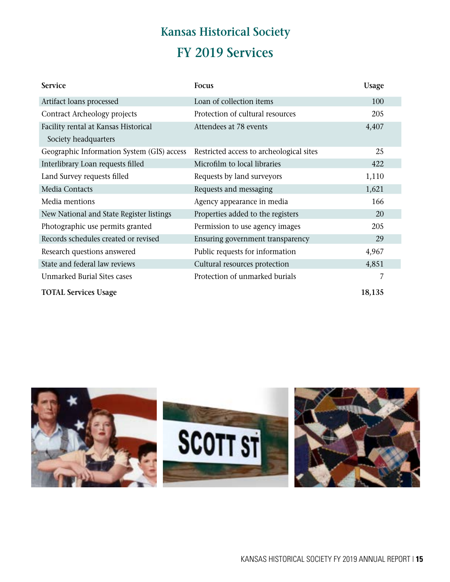# **Kansas Historical Society FY 2019 Services**

| <b>Service</b>                             | Focus                                    | Usage  |
|--------------------------------------------|------------------------------------------|--------|
| Artifact loans processed                   | Loan of collection items                 | 100    |
| Contract Archeology projects               | Protection of cultural resources         | 205    |
| Facility rental at Kansas Historical       | Attendees at 78 events                   | 4,407  |
| Society headquarters                       |                                          |        |
| Geographic Information System (GIS) access | Restricted access to archeological sites | 25     |
| Interlibrary Loan requests filled          | Microfilm to local libraries             | 422    |
| Land Survey requests filled                | Requests by land surveyors               | 1,110  |
| Media Contacts                             | Requests and messaging                   | 1,621  |
| Media mentions                             | Agency appearance in media               | 166    |
| New National and State Register listings   | Properties added to the registers        | 20     |
| Photographic use permits granted           | Permission to use agency images          | 205    |
| Records schedules created or revised       | Ensuring government transparency         | 29     |
| Research questions answered                | Public requests for information          | 4,967  |
| State and federal law reviews              | Cultural resources protection            | 4,851  |
| Unmarked Burial Sites cases                | Protection of unmarked burials           | 7      |
| <b>TOTAL Services Usage</b>                |                                          | 18,135 |

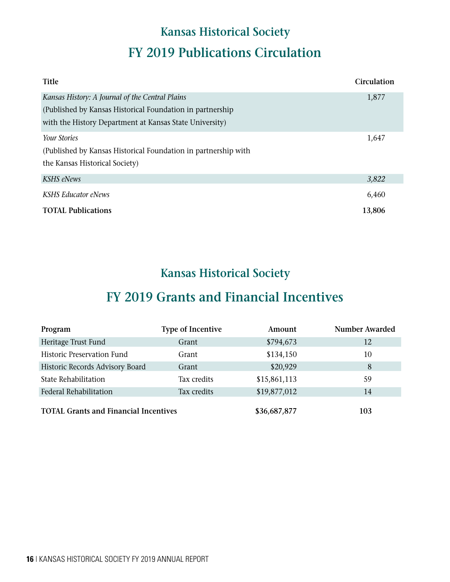# **Kansas Historical Society FY 2019 Publications Circulation**

| <b>Title</b>                                                   | Circulation |
|----------------------------------------------------------------|-------------|
| Kansas History: A Journal of the Central Plains                | 1,877       |
| (Published by Kansas Historical Foundation in partnership)     |             |
| with the History Department at Kansas State University)        |             |
| <i>Your Stories</i>                                            | 1,647       |
| (Published by Kansas Historical Foundation in partnership with |             |
| the Kansas Historical Society)                                 |             |
| <b>KSHS</b> eNews                                              | 3,822       |
| <b>KSHS Educator eNews</b>                                     | 6,460       |
| <b>TOTAL Publications</b>                                      | 13,806      |

### **Kansas Historical Society**

### **FY 2019 Grants and Financial Incentives**

| Program                                      | <b>Type of Incentive</b> | Amount       | <b>Number Awarded</b> |
|----------------------------------------------|--------------------------|--------------|-----------------------|
| Heritage Trust Fund                          | Grant                    | \$794,673    | 12                    |
| Historic Preservation Fund                   | Grant                    | \$134,150    | 10                    |
| Historic Records Advisory Board              | Grant                    | \$20,929     | 8                     |
| State Rehabilitation                         | Tax credits              | \$15,861,113 | 59                    |
| Federal Rehabilitation                       | Tax credits              | \$19,877,012 | 14                    |
| <b>TOTAL Grants and Financial Incentives</b> |                          | \$36,687,877 | 103                   |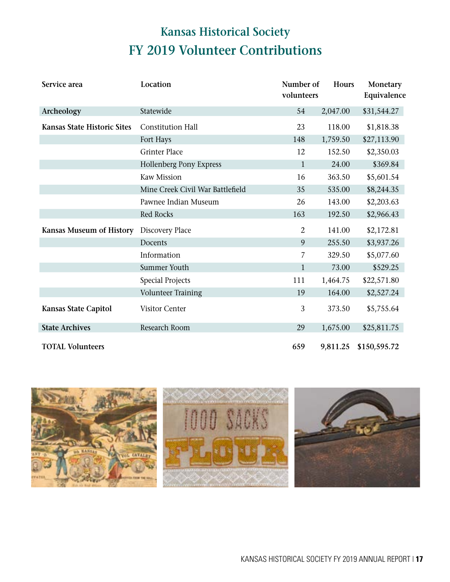# **Kansas Historical Society FY 2019 Volunteer Contributions**

| Service area                       | Location                         | Number of<br>volunteers | Hours    | Monetary<br>Equivalence |
|------------------------------------|----------------------------------|-------------------------|----------|-------------------------|
| Archeology                         | Statewide                        | 54                      | 2,047.00 | \$31,544.27             |
| <b>Kansas State Historic Sites</b> | <b>Constitution Hall</b>         | 23                      | 118.00   | \$1,818.38              |
|                                    | Fort Hays                        | 148                     | 1,759.50 | \$27,113.90             |
|                                    | <b>Grinter Place</b>             | 12                      | 152.50   | \$2,350.03              |
|                                    | <b>Hollenberg Pony Express</b>   | $\mathbf{1}$            | 24.00    | \$369.84                |
|                                    | <b>Kaw Mission</b>               | 16                      | 363.50   | \$5,601.54              |
|                                    | Mine Creek Civil War Battlefield | 35                      | 535.00   | \$8,244.35              |
|                                    | Pawnee Indian Museum             | 26                      | 143.00   | \$2,203.63              |
|                                    | Red Rocks                        | 163                     | 192.50   | \$2,966.43              |
| Kansas Museum of History           | Discovery Place                  | 2                       | 141.00   | \$2,172.81              |
|                                    | Docents                          | 9                       | 255.50   | \$3,937.26              |
|                                    | Information                      | 7                       | 329.50   | \$5,077.60              |
|                                    | Summer Youth                     | $\mathbf{1}$            | 73.00    | \$529.25                |
|                                    | <b>Special Projects</b>          | 111                     | 1,464.75 | \$22,571.80             |
|                                    | Volunteer Training               | 19                      | 164.00   | \$2,527.24              |
| <b>Kansas State Capitol</b>        | Visitor Center                   | 3                       | 373.50   | \$5,755.64              |
| <b>State Archives</b>              | Research Room                    | 29                      | 1,675.00 | \$25,811.75             |
| <b>TOTAL Volunteers</b>            |                                  | 659                     | 9,811.25 | \$150,595.72            |

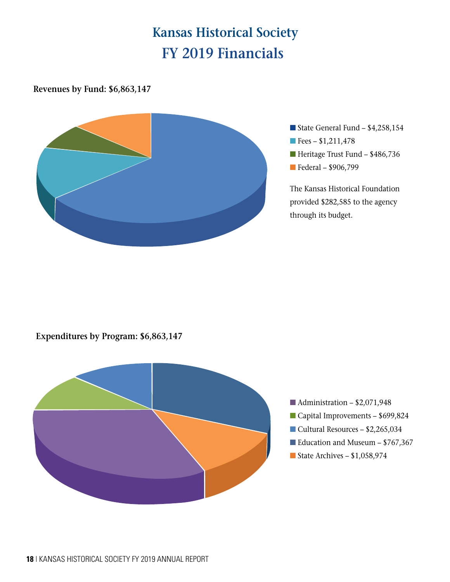# **Kansas Historical Society FY 2019 Financials**

#### **Revenues by Fund: \$6,863,147**



- State General Fund  $$4,258,154$
- $\blacksquare$  Fees \$1,211,478
- $\blacksquare$  Heritage Trust Fund \$486,736
- Federal \$906,799

The Kansas Historical Foundation provided \$282,585 to the agency through its budget.

#### **Expenditures by Program: \$6,863,147**



- $\blacksquare$  Administration \$2,071,948
- Capital Improvements \$699,824
- $\blacksquare$  Cultural Resources \$2,265,034
- Education and Museum  $$767,367$
- State Archives  $$1,058,974$